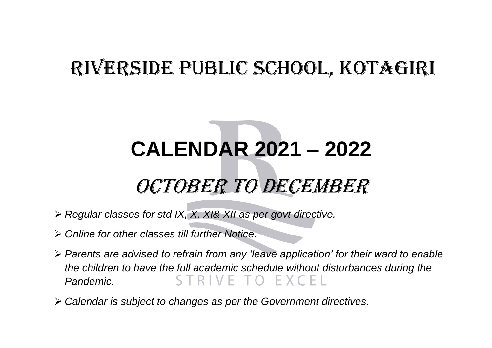## RIVERSIDE PUBLIC SCHOOL, KOTAGIRI

## **CALENDAR 2021 – 2022** OCTOBER TO DECEMBER

- *Regular classes for std IX, X, XI& XII as per govt directive.*
- *Online for other classes till further Notice.*
- *Parents are advised to refrain from any 'leave application' for their ward to enable the children to have the full academic schedule without disturbances during the*   $O$   $EXCF$ *Pandemic.*
- *Calendar is subject to changes as per the Government directives.*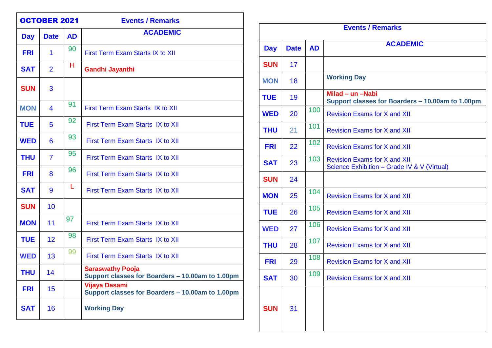| <b>OCTOBER 2021</b> |                |           | <b>Events / Remarks</b>                                                     |
|---------------------|----------------|-----------|-----------------------------------------------------------------------------|
| <b>Day</b>          | <b>Date</b>    | <b>AD</b> | <b>ACADEMIC</b>                                                             |
| <b>FRI</b>          | 1              | 90        | First Term Exam Starts IX to XII                                            |
| <b>SAT</b>          | $\overline{2}$ | н         | <b>Gandhi Jayanthi</b>                                                      |
| <b>SUN</b>          | 3              |           |                                                                             |
| <b>MON</b>          | 4              | 91        | First Term Exam Starts IX to XII                                            |
| <b>TUE</b>          | 5              | 92        | <b>First Term Exam Starts IX to XII</b>                                     |
| <b>WED</b>          | 6              | 93        | First Term Exam Starts IX to XII                                            |
| <b>THU</b>          | $\overline{7}$ | 95        | First Term Exam Starts IX to XII                                            |
| <b>FRI</b>          | 8              | 96        | First Term Exam Starts IX to XII                                            |
| <b>SAT</b>          | 9              | L         | First Term Exam Starts IX to XII                                            |
| <b>SUN</b>          | 10             |           |                                                                             |
| <b>MON</b>          | 11             | 97        | First Term Exam Starts IX to XII                                            |
| <b>TUE</b>          | 12             | 98        | First Term Exam Starts IX to XII                                            |
| <b>WED</b>          | 13             | 99        | First Term Exam Starts IX to XII                                            |
| THU                 | 14             |           | <b>Saraswathy Pooja</b><br>Support classes for Boarders - 10.00am to 1.00pm |
| <b>FRI</b>          | 15             |           | <b>Vijaya Dasami</b><br>Support classes for Boarders - 10.00am to 1.00pm    |
| <b>SAT</b>          | 16             |           | <b>Working Day</b>                                                          |

| <b>Events / Remarks</b> |             |           |                                                                                    |
|-------------------------|-------------|-----------|------------------------------------------------------------------------------------|
| <b>Day</b>              | <b>Date</b> | <b>AD</b> | <b>ACADEMIC</b>                                                                    |
| <b>SUN</b>              | 17          |           |                                                                                    |
| <b>MON</b>              | 18          |           | <b>Working Day</b>                                                                 |
| <b>TUE</b>              | 19          |           | Milad - un -Nabi<br>Support classes for Boarders - 10.00am to 1.00pm               |
| <b>WED</b>              | 20          | 100       | <b>Revision Exams for X and XII</b>                                                |
| <b>THU</b>              | 21          | 101       | <b>Revision Exams for X and XII</b>                                                |
| <b>FRI</b>              | 22          | 102       | <b>Revision Exams for X and XII</b>                                                |
| <b>SAT</b>              | 23          | 103       | <b>Revision Exams for X and XII</b><br>Science Exhibition - Grade IV & V (Virtual) |
| <b>SUN</b>              | 24          |           |                                                                                    |
| <b>MON</b>              | 25          | 104       | <b>Revision Exams for X and XII</b>                                                |
| <b>TUE</b>              | 26          | 105       | <b>Revision Exams for X and XII</b>                                                |
| <b>WED</b>              | 27          | 106       | <b>Revision Exams for X and XII</b>                                                |
| <b>THU</b>              | 28          | 107       | <b>Revision Exams for X and XII</b>                                                |
| <b>FRI</b>              | 29          | 108       | <b>Revision Exams for X and XII</b>                                                |
| <b>SAT</b>              | 30          | 109       | <b>Revision Exams for X and XII</b>                                                |
| <b>SUN</b>              | 31          |           |                                                                                    |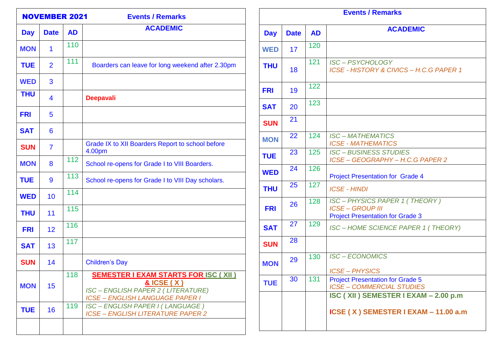| <b>NOVEMBER 2021</b><br><b>Events / Remarks</b> |                |           |                                                                                                                                                           |
|-------------------------------------------------|----------------|-----------|-----------------------------------------------------------------------------------------------------------------------------------------------------------|
| <b>Day</b>                                      | <b>Date</b>    | <b>AD</b> | <b>ACADEMIC</b>                                                                                                                                           |
| <b>MON</b>                                      | 1              | 110       |                                                                                                                                                           |
| <b>TUE</b>                                      | $\overline{2}$ | 111       | Boarders can leave for long weekend after 2.30pm                                                                                                          |
| <b>WED</b>                                      | 3              |           |                                                                                                                                                           |
| <b>THU</b>                                      | 4              |           | <b>Deepavali</b>                                                                                                                                          |
| <b>FRI</b>                                      | 5              |           |                                                                                                                                                           |
| <b>SAT</b>                                      | 6              |           |                                                                                                                                                           |
| <b>SUN</b>                                      | $\overline{7}$ |           | Grade IX to XII Boarders Report to school before<br>4.00pm                                                                                                |
| <b>MON</b>                                      | 8              | 112       | School re-opens for Grade I to VIII Boarders.                                                                                                             |
| <b>TUE</b>                                      | 9              | 113       | School re-opens for Grade I to VIII Day scholars.                                                                                                         |
| <b>WED</b>                                      | 10             | 114       |                                                                                                                                                           |
| <b>THU</b>                                      | 11             | 115       |                                                                                                                                                           |
| <b>FRI</b>                                      | 12             | 116       |                                                                                                                                                           |
| <b>SAT</b>                                      | 13             | 117       |                                                                                                                                                           |
| <b>SUN</b>                                      | 14             |           | <b>Children's Day</b>                                                                                                                                     |
| <b>MON</b>                                      | 15             | 118       | <b>SEMESTER I EXAM STARTS FOR ISC (XII)</b><br><u>&amp; ICSE (X)</u><br><b>ISC-ENGLISH PAPER 2 (LITERATURE)</b><br><b>ICSE - ENGLISH LANGUAGE PAPER I</b> |
| <b>TUE</b>                                      | 16             | 119       | ISC - ENGLISH PAPER I (LANGUAGE)<br><b>ICSE - ENGLISH LITERATURE PAPER 2</b>                                                                              |
|                                                 |                |           |                                                                                                                                                           |

| <b>Events / Remarks</b> |             |           |                                                                                                           |
|-------------------------|-------------|-----------|-----------------------------------------------------------------------------------------------------------|
| <b>Day</b>              | <b>Date</b> | <b>AD</b> | <b>ACADEMIC</b>                                                                                           |
| <b>WED</b>              | 17          | 120       |                                                                                                           |
| <b>THU</b>              | 18          | 121       | <b>ISC-PSYCHOLOGY</b><br>ICSE - HISTORY & CIVICS - H.C.G PAPER 1                                          |
| <b>FRI</b>              | 19          | 122       |                                                                                                           |
| <b>SAT</b>              | 20          | 123       |                                                                                                           |
| <b>SUN</b>              | 21          |           |                                                                                                           |
| <b>MON</b>              | 22          | 124       | <b>ISC-MATHEMATICS</b><br><b>ICSE - MATHEMATICS</b>                                                       |
| <b>TUE</b>              | 23          | 125       | <b>ISC-BUSINESS STUDIES</b><br>ICSE-GEOGRAPHY-H.C.G PAPER 2                                               |
| <b>WED</b>              | 24          | 126       | <b>Project Presentation for Grade 4</b>                                                                   |
| <b>THU</b>              | 25          | 127       | <b>ICSE - HINDI</b>                                                                                       |
| <b>FRI</b>              | 26          | 128       | <b>ISC-PHYSICS PAPER 1 (THEORY)</b><br><b>ICSE - GROUP III</b><br><b>Project Presentation for Grade 3</b> |
| <b>SAT</b>              | 27          | 129       | ISC - HOME SCIENCE PAPER 1 (THEORY)                                                                       |
| <b>SUN</b>              | 28          |           |                                                                                                           |
| <b>MON</b>              | 29          | 130       | <b>ISC-ECONOMICS</b><br><b>ICSE-PHYSICS</b>                                                               |
| <b>TUE</b>              | 30          | 131       | <b>Project Presentation for Grade 5</b><br><b>ICSE- COMMERCIAL STUDIES</b>                                |
|                         |             |           | ISC (XII) SEMESTER I EXAM - 2.00 p.m<br>ICSE (X) SEMESTER I EXAM - 11.00 a.m                              |

 $\blacksquare$